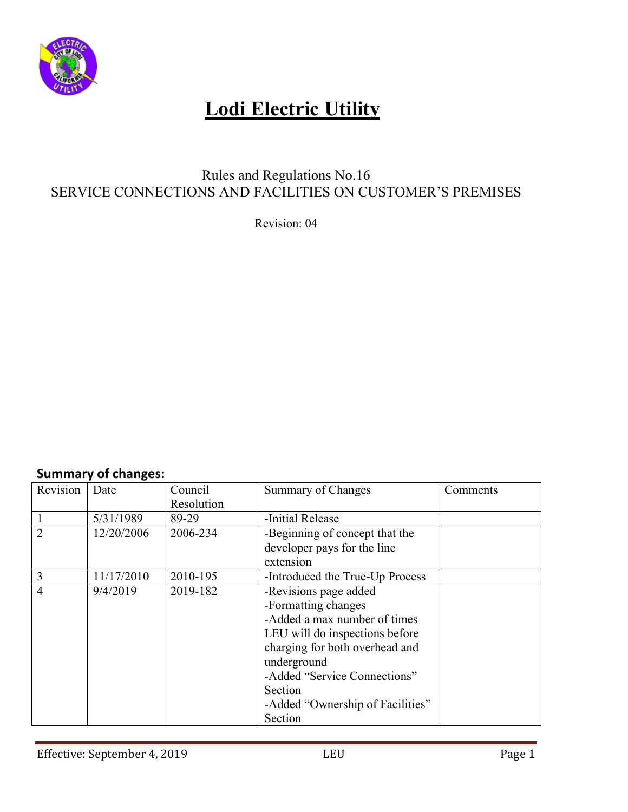

### Rules and Regulations No.16 SERVICE CONNECTIONS AND FACILITIES ON CUSTOMER'S PREMISES

Revision: 04

### **Summary of changes:**

| Revision       | Date       | Council    | Summary of Changes               | Comments |
|----------------|------------|------------|----------------------------------|----------|
|                |            | Resolution |                                  |          |
|                | 5/31/1989  | 89-29      | -Initial Release                 |          |
| $\overline{2}$ | 12/20/2006 | 2006-234   | -Beginning of concept that the   |          |
|                |            |            | developer pays for the line      |          |
|                |            |            | extension                        |          |
| 3              | 11/17/2010 | 2010-195   | -Introduced the True-Up Process  |          |
| $\overline{4}$ | 9/4/2019   | 2019-182   | -Revisions page added            |          |
|                |            |            | -Formatting changes              |          |
|                |            |            | -Added a max number of times     |          |
|                |            |            | LEU will do inspections before   |          |
|                |            |            | charging for both overhead and   |          |
|                |            |            | underground                      |          |
|                |            |            | -Added "Service Connections"     |          |
|                |            |            | Section                          |          |
|                |            |            | -Added "Ownership of Facilities" |          |
|                |            |            | Section                          |          |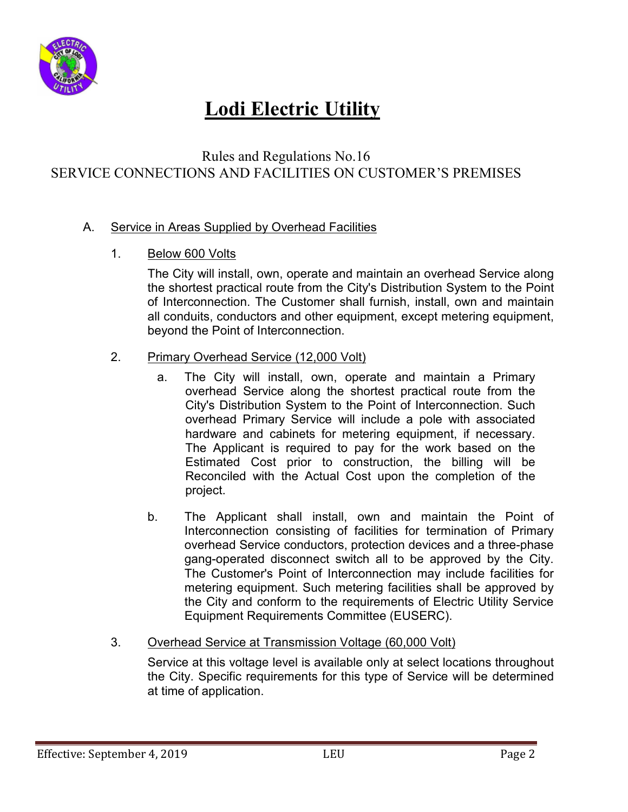

### Rules and Regulations No.16 SERVICE CONNECTIONS AND FACILITIES ON CUSTOMER'S PREMISES

#### A. Service in Areas Supplied by Overhead Facilities

#### 1. Below 600 Volts

The City will install, own, operate and maintain an overhead Service along the shortest practical route from the City's Distribution System to the Point of Interconnection. The Customer shall furnish, install, own and maintain all conduits, conductors and other equipment, except metering equipment, beyond the Point of Interconnection.

#### 2. Primary Overhead Service (12,000 Volt)

- a. The City will install, own, operate and maintain a Primary overhead Service along the shortest practical route from the City's Distribution System to the Point of Interconnection. Such overhead Primary Service will include a pole with associated hardware and cabinets for metering equipment, if necessary. The Applicant is required to pay for the work based on the Estimated Cost prior to construction, the billing will be Reconciled with the Actual Cost upon the completion of the project.
- b. The Applicant shall install, own and maintain the Point of Interconnection consisting of facilities for termination of Primary overhead Service conductors, protection devices and a three-phase gang-operated disconnect switch all to be approved by the City. The Customer's Point of Interconnection may include facilities for metering equipment. Such metering facilities shall be approved by the City and conform to the requirements of Electric Utility Service Equipment Requirements Committee (EUSERC).

#### 3. Overhead Service at Transmission Voltage (60,000 Volt)

Service at this voltage level is available only at select locations throughout the City. Specific requirements for this type of Service will be determined at time of application.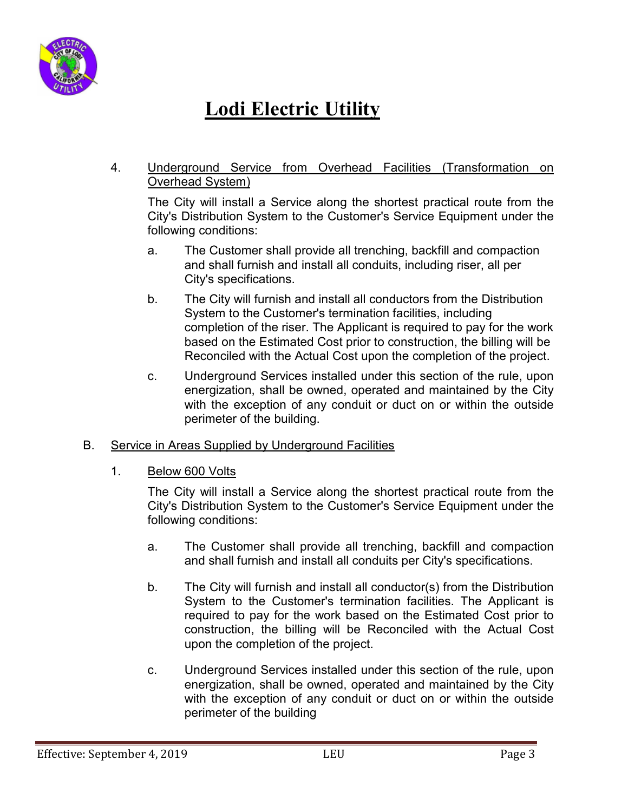

4. Underground Service from Overhead Facilities (Transformation on Overhead System)

The City will install a Service along the shortest practical route from the City's Distribution System to the Customer's Service Equipment under the following conditions:

- a. The Customer shall provide all trenching, backfill and compaction and shall furnish and install all conduits, including riser, all per City's specifications.
- b. The City will furnish and install all conductors from the Distribution System to the Customer's termination facilities, including completion of the riser. The Applicant is required to pay for the work based on the Estimated Cost prior to construction, the billing will be Reconciled with the Actual Cost upon the completion of the project.
- c. Underground Services installed under this section of the rule, upon energization, shall be owned, operated and maintained by the City with the exception of any conduit or duct on or within the outside perimeter of the building.
- B. Service in Areas Supplied by Underground Facilities
	- 1. Below 600 Volts

The City will install a Service along the shortest practical route from the City's Distribution System to the Customer's Service Equipment under the following conditions:

- a. The Customer shall provide all trenching, backfill and compaction and shall furnish and install all conduits per City's specifications.
- b. The City will furnish and install all conductor(s) from the Distribution System to the Customer's termination facilities. The Applicant is required to pay for the work based on the Estimated Cost prior to construction, the billing will be Reconciled with the Actual Cost upon the completion of the project.
- c. Underground Services installed under this section of the rule, upon energization, shall be owned, operated and maintained by the City with the exception of any conduit or duct on or within the outside perimeter of the building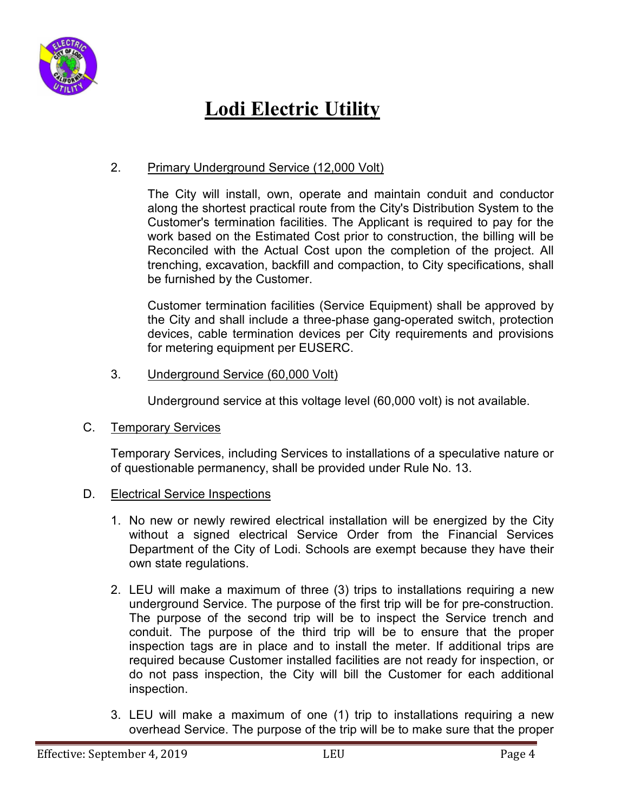

### 2. Primary Underground Service (12,000 Volt)

The City will install, own, operate and maintain conduit and conductor along the shortest practical route from the City's Distribution System to the Customer's termination facilities. The Applicant is required to pay for the work based on the Estimated Cost prior to construction, the billing will be Reconciled with the Actual Cost upon the completion of the project. All trenching, excavation, backfill and compaction, to City specifications, shall be furnished by the Customer.

Customer termination facilities (Service Equipment) shall be approved by the City and shall include a three-phase gang-operated switch, protection devices, cable termination devices per City requirements and provisions for metering equipment per EUSERC.

3. Underground Service (60,000 Volt)

Underground service at this voltage level (60,000 volt) is not available.

C. Temporary Services

Temporary Services, including Services to installations of a speculative nature or of questionable permanency, shall be provided under Rule No. 13.

- D. Electrical Service Inspections
	- 1. No new or newly rewired electrical installation will be energized by the City without a signed electrical Service Order from the Financial Services Department of the City of Lodi. Schools are exempt because they have their own state regulations.
	- 2. LEU will make a maximum of three (3) trips to installations requiring a new underground Service. The purpose of the first trip will be for pre-construction. The purpose of the second trip will be to inspect the Service trench and conduit. The purpose of the third trip will be to ensure that the proper inspection tags are in place and to install the meter. If additional trips are required because Customer installed facilities are not ready for inspection, or do not pass inspection, the City will bill the Customer for each additional inspection.
	- 3. LEU will make a maximum of one (1) trip to installations requiring a new overhead Service. The purpose of the trip will be to make sure that the proper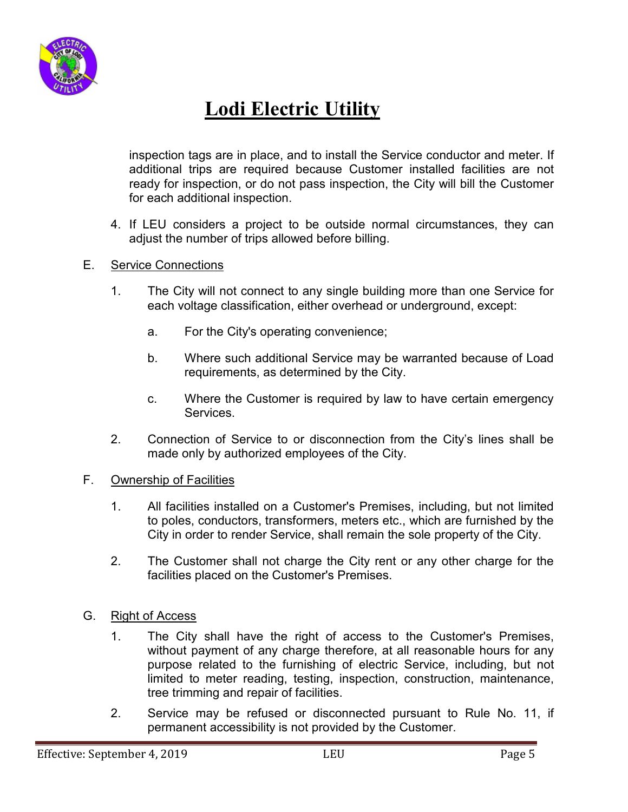

inspection tags are in place, and to install the Service conductor and meter. If additional trips are required because Customer installed facilities are not ready for inspection, or do not pass inspection, the City will bill the Customer for each additional inspection.

4. If LEU considers a project to be outside normal circumstances, they can adjust the number of trips allowed before billing.

#### E. Service Connections

- 1. The City will not connect to any single building more than one Service for each voltage classification, either overhead or underground, except:
	- a. For the City's operating convenience;
	- b. Where such additional Service may be warranted because of Load requirements, as determined by the City.
	- c. Where the Customer is required by law to have certain emergency Services.
- 2. Connection of Service to or disconnection from the City's lines shall be made only by authorized employees of the City.

#### F. Ownership of Facilities

- 1. All facilities installed on a Customer's Premises, including, but not limited to poles, conductors, transformers, meters etc., which are furnished by the City in order to render Service, shall remain the sole property of the City.
- 2. The Customer shall not charge the City rent or any other charge for the facilities placed on the Customer's Premises.
- G. Right of Access
	- 1. The City shall have the right of access to the Customer's Premises, without payment of any charge therefore, at all reasonable hours for any purpose related to the furnishing of electric Service, including, but not limited to meter reading, testing, inspection, construction, maintenance, tree trimming and repair of facilities.
	- 2. Service may be refused or disconnected pursuant to Rule No. 11, if permanent accessibility is not provided by the Customer.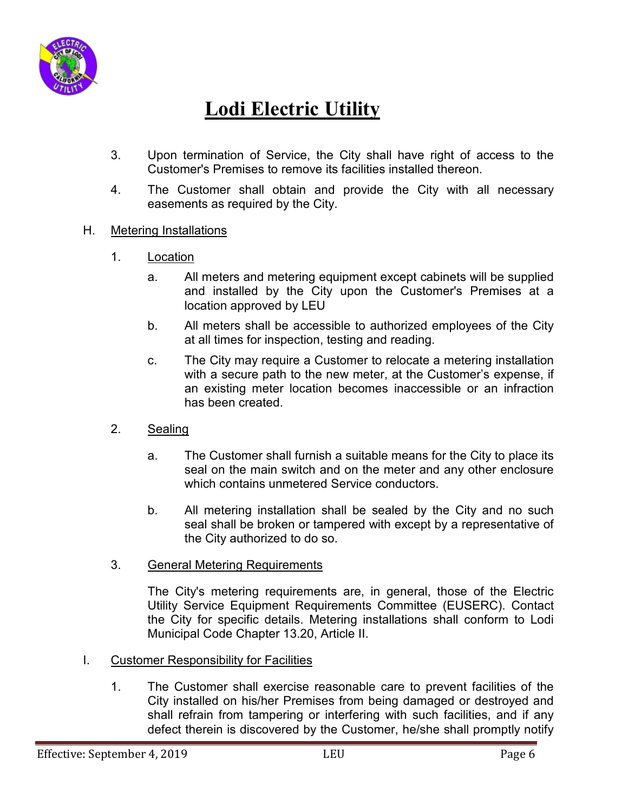

- 3. Upon termination of Service, the City shall have right of access to the Customer's Premises to remove its facilities installed thereon.
- 4. The Customer shall obtain and provide the City with all necessary easements as required by the City.
- H. Metering Installations
	- 1. Location
		- a. All meters and metering equipment except cabinets will be supplied and installed by the City upon the Customer's Premises at a location approved by LEU
		- b. All meters shall be accessible to authorized employees of the City at all times for inspection, testing and reading.
		- c. The City may require a Customer to relocate a metering installation with a secure path to the new meter, at the Customer's expense, if an existing meter location becomes inaccessible or an infraction has been created.
	- 2. Sealing
		- a. The Customer shall furnish a suitable means for the City to place its seal on the main switch and on the meter and any other enclosure which contains unmetered Service conductors.
		- b. All metering installation shall be sealed by the City and no such seal shall be broken or tampered with except by a representative of the City authorized to do so.
	- 3. General Metering Requirements

The City's metering requirements are, in general, those of the Electric Utility Service Equipment Requirements Committee (EUSERC). Contact the City for specific details. Metering installations shall conform to Lodi Municipal Code Chapter 13.20, Article II.

- I. Customer Responsibility for Facilities
	- 1. The Customer shall exercise reasonable care to prevent facilities of the City installed on his/her Premises from being damaged or destroyed and shall refrain from tampering or interfering with such facilities, and if any defect therein is discovered by the Customer, he/she shall promptly notify